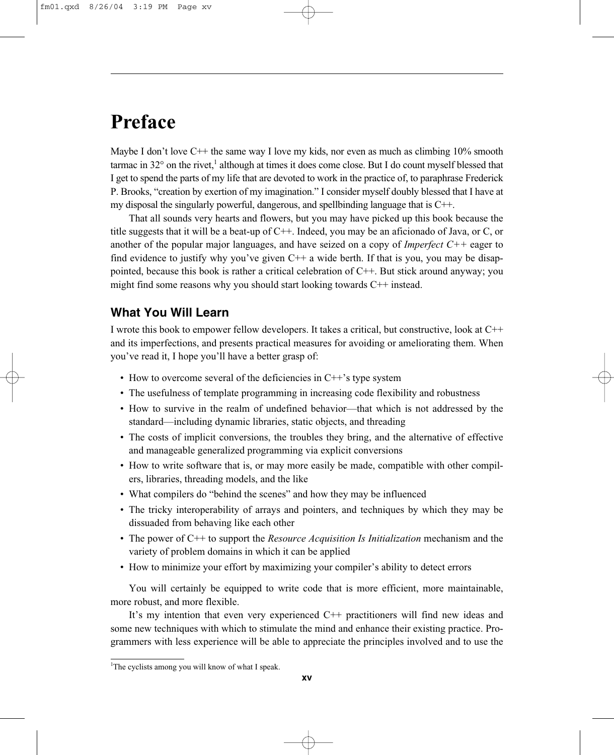# **Preface**

Maybe I don't love  $C++$  the same way I love my kids, nor even as much as climbing 10% smooth tarmac in  $32^{\circ}$  on the rivet,<sup>1</sup> although at times it does come close. But I do count myself blessed that I get to spend the parts of my life that are devoted to work in the practice of, to paraphrase Frederick P. Brooks, "creation by exertion of my imagination." I consider myself doubly blessed that I have at my disposal the singularly powerful, dangerous, and spellbinding language that is  $C++$ .

That all sounds very hearts and flowers, but you may have picked up this book because the title suggests that it will be a beat-up of C++. Indeed, you may be an aficionado of Java, or C, or another of the popular major languages, and have seized on a copy of *Imperfect C++* eager to find evidence to justify why you've given C++ a wide berth. If that is you, you may be disappointed, because this book is rather a critical celebration of  $C++$ . But stick around anyway; you might find some reasons why you should start looking towards C++ instead.

# **What You Will Learn**

I wrote this book to empower fellow developers. It takes a critical, but constructive, look at C++ and its imperfections, and presents practical measures for avoiding or ameliorating them. When you've read it, I hope you'll have a better grasp of:

- How to overcome several of the deficiencies in C++'s type system
- The usefulness of template programming in increasing code flexibility and robustness
- How to survive in the realm of undefined behavior—that which is not addressed by the standard—including dynamic libraries, static objects, and threading
- The costs of implicit conversions, the troubles they bring, and the alternative of effective and manageable generalized programming via explicit conversions
- How to write software that is, or may more easily be made, compatible with other compilers, libraries, threading models, and the like
- What compilers do "behind the scenes" and how they may be influenced
- The tricky interoperability of arrays and pointers, and techniques by which they may be dissuaded from behaving like each other
- The power of C++ to support the *Resource Acquisition Is Initialization* mechanism and the variety of problem domains in which it can be applied
- How to minimize your effort by maximizing your compiler's ability to detect errors

You will certainly be equipped to write code that is more efficient, more maintainable, more robust, and more flexible.

It's my intention that even very experienced C++ practitioners will find new ideas and some new techniques with which to stimulate the mind and enhance their existing practice. Programmers with less experience will be able to appreciate the principles involved and to use the

<sup>&</sup>lt;sup>1</sup>The cyclists among you will know of what I speak.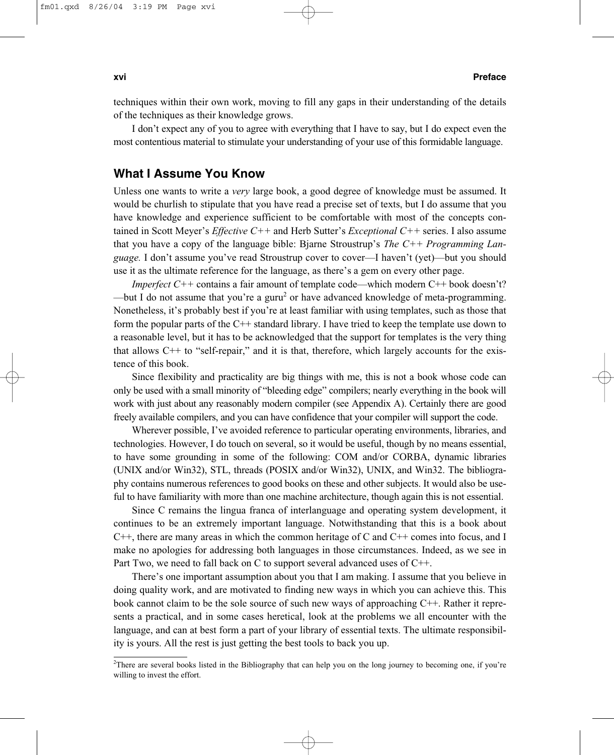#### **xvi Preface**

techniques within their own work, moving to fill any gaps in their understanding of the details of the techniques as their knowledge grows.

I don't expect any of you to agree with everything that I have to say, but I do expect even the most contentious material to stimulate your understanding of your use of this formidable language.

# **What I Assume You Know**

Unless one wants to write a *very* large book, a good degree of knowledge must be assumed. It would be churlish to stipulate that you have read a precise set of texts, but I do assume that you have knowledge and experience sufficient to be comfortable with most of the concepts contained in Scott Meyer's *Effective C++* and Herb Sutter's *Exceptional C++* series. I also assume that you have a copy of the language bible: Bjarne Stroustrup's *The C++ Programming Language.* I don't assume you've read Stroustrup cover to cover—I haven't (yet)—but you should use it as the ultimate reference for the language, as there's a gem on every other page.

*Imperfect* C++ contains a fair amount of template code—which modern C++ book doesn't? —but I do not assume that you're a guru<sup>2</sup> or have advanced knowledge of meta-programming. Nonetheless, it's probably best if you're at least familiar with using templates, such as those that form the popular parts of the C++ standard library. I have tried to keep the template use down to a reasonable level, but it has to be acknowledged that the support for templates is the very thing that allows  $C++$  to "self-repair," and it is that, therefore, which largely accounts for the existence of this book.

Since flexibility and practicality are big things with me, this is not a book whose code can only be used with a small minority of "bleeding edge" compilers; nearly everything in the book will work with just about any reasonably modern compiler (see Appendix A). Certainly there are good freely available compilers, and you can have confidence that your compiler will support the code.

Wherever possible, I've avoided reference to particular operating environments, libraries, and technologies. However, I do touch on several, so it would be useful, though by no means essential, to have some grounding in some of the following: COM and/or CORBA, dynamic libraries (UNIX and/or Win32), STL, threads (POSIX and/or Win32), UNIX, and Win32. The bibliography contains numerous references to good books on these and other subjects. It would also be useful to have familiarity with more than one machine architecture, though again this is not essential.

Since C remains the lingua franca of interlanguage and operating system development, it continues to be an extremely important language. Notwithstanding that this is a book about  $C++$ , there are many areas in which the common heritage of C and  $C++$  comes into focus, and I make no apologies for addressing both languages in those circumstances. Indeed, as we see in Part Two, we need to fall back on C to support several advanced uses of C++.

There's one important assumption about you that I am making. I assume that you believe in doing quality work, and are motivated to finding new ways in which you can achieve this. This book cannot claim to be the sole source of such new ways of approaching C++. Rather it represents a practical, and in some cases heretical, look at the problems we all encounter with the language, and can at best form a part of your library of essential texts. The ultimate responsibility is yours. All the rest is just getting the best tools to back you up.

<sup>2</sup> There are several books listed in the Bibliography that can help you on the long journey to becoming one, if you're willing to invest the effort.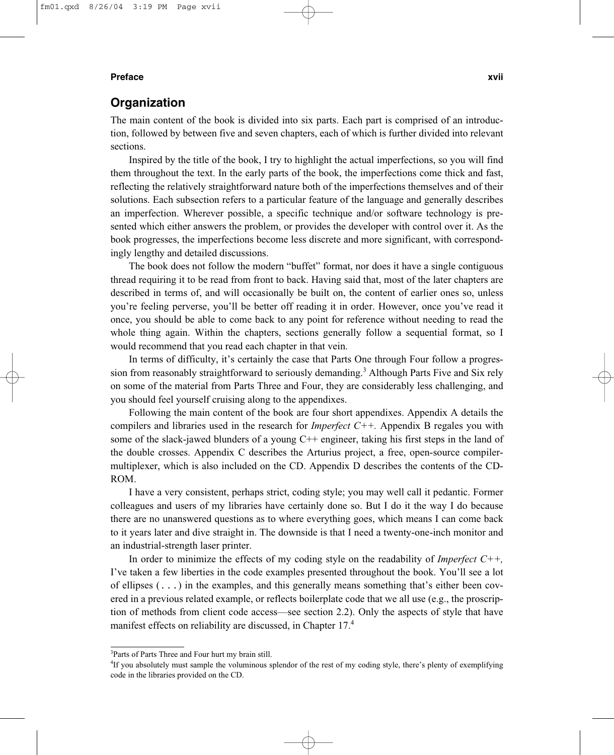#### **Preface xvii**

# **Organization**

The main content of the book is divided into six parts. Each part is comprised of an introduction, followed by between five and seven chapters, each of which is further divided into relevant sections.

Inspired by the title of the book, I try to highlight the actual imperfections, so you will find them throughout the text. In the early parts of the book, the imperfections come thick and fast, reflecting the relatively straightforward nature both of the imperfections themselves and of their solutions. Each subsection refers to a particular feature of the language and generally describes an imperfection. Wherever possible, a specific technique and/or software technology is presented which either answers the problem, or provides the developer with control over it. As the book progresses, the imperfections become less discrete and more significant, with correspondingly lengthy and detailed discussions.

The book does not follow the modern "buffet" format, nor does it have a single contiguous thread requiring it to be read from front to back. Having said that, most of the later chapters are described in terms of, and will occasionally be built on, the content of earlier ones so, unless you're feeling perverse, you'll be better off reading it in order. However, once you've read it once, you should be able to come back to any point for reference without needing to read the whole thing again. Within the chapters, sections generally follow a sequential format, so I would recommend that you read each chapter in that vein.

In terms of difficulty, it's certainly the case that Parts One through Four follow a progression from reasonably straightforward to seriously demanding.<sup>3</sup> Although Parts Five and Six rely on some of the material from Parts Three and Four, they are considerably less challenging, and you should feel yourself cruising along to the appendixes.

Following the main content of the book are four short appendixes. Appendix A details the compilers and libraries used in the research for *Imperfect C++.* Appendix B regales you with some of the slack-jawed blunders of a young  $C++$  engineer, taking his first steps in the land of the double crosses. Appendix C describes the Arturius project, a free, open-source compilermultiplexer, which is also included on the CD. Appendix D describes the contents of the CD-ROM.

I have a very consistent, perhaps strict, coding style; you may well call it pedantic. Former colleagues and users of my libraries have certainly done so. But I do it the way I do because there are no unanswered questions as to where everything goes, which means I can come back to it years later and dive straight in. The downside is that I need a twenty-one-inch monitor and an industrial-strength laser printer.

In order to minimize the effects of my coding style on the readability of *Imperfect C++,* I've taken a few liberties in the code examples presented throughout the book. You'll see a lot of ellipses  $(\ldots)$  in the examples, and this generally means something that's either been covered in a previous related example, or reflects boilerplate code that we all use (e.g., the proscription of methods from client code access—see section 2.2). Only the aspects of style that have manifest effects on reliability are discussed, in Chapter 17.<sup>4</sup>

<sup>3</sup> Parts of Parts Three and Four hurt my brain still.

<sup>&</sup>lt;sup>4</sup>If you absolutely must sample the voluminous splendor of the rest of my coding style, there's plenty of exemplifying code in the libraries provided on the CD.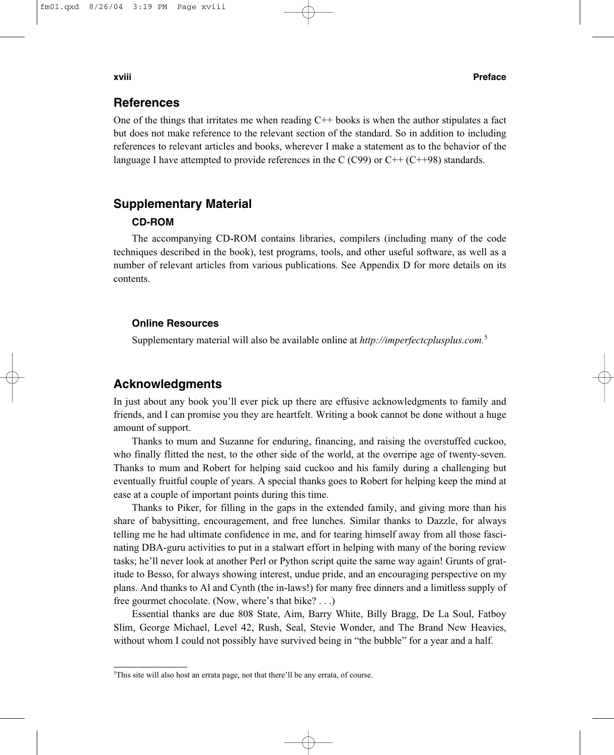#### **xviii Preface**

### **References**

One of the things that irritates me when reading  $C++$  books is when the author stipulates a fact but does not make reference to the relevant section of the standard. So in addition to including references to relevant articles and books, wherever I make a statement as to the behavior of the language I have attempted to provide references in the C (C99) or  $C++$  (C++98) standards.

# **Supplementary Material**

# **CD-ROM**

The accompanying CD-ROM contains libraries, compilers (including many of the code techniques described in the book), test programs, tools, and other useful software, as well as a number of relevant articles from various publications. See Appendix D for more details on its contents.

#### **Online Resources**

Supplementary material will also be available online at *http://imperfectcplusplus.com.*<sup>5</sup>

# **Acknowledgments**

In just about any book you'll ever pick up there are effusive acknowledgments to family and friends, and I can promise you they are heartfelt. Writing a book cannot be done without a huge amount of support.

Thanks to mum and Suzanne for enduring, financing, and raising the overstuffed cuckoo, who finally flitted the nest, to the other side of the world, at the overripe age of twenty-seven. Thanks to mum and Robert for helping said cuckoo and his family during a challenging but eventually fruitful couple of years. A special thanks goes to Robert for helping keep the mind at ease at a couple of important points during this time.

Thanks to Piker, for filling in the gaps in the extended family, and giving more than his share of babysitting, encouragement, and free lunches. Similar thanks to Dazzle, for always telling me he had ultimate confidence in me, and for tearing himself away from all those fascinating DBA-guru activities to put in a stalwart effort in helping with many of the boring review tasks; he'll never look at another Perl or Python script quite the same way again! Grunts of gratitude to Besso, for always showing interest, undue pride, and an encouraging perspective on my plans. And thanks to Al and Cynth (the in-laws!) for many free dinners and a limitless supply of free gourmet chocolate. (Now, where's that bike? . . .)

Essential thanks are due 808 State, Aim, Barry White, Billy Bragg, De La Soul, Fatboy Slim, George Michael, Level 42, Rush, Seal, Stevie Wonder, and The Brand New Heavies, without whom I could not possibly have survived being in "the bubble" for a year and a half.

<sup>&</sup>lt;sup>5</sup>This site will also host an errata page, not that there'll be any errata, of course.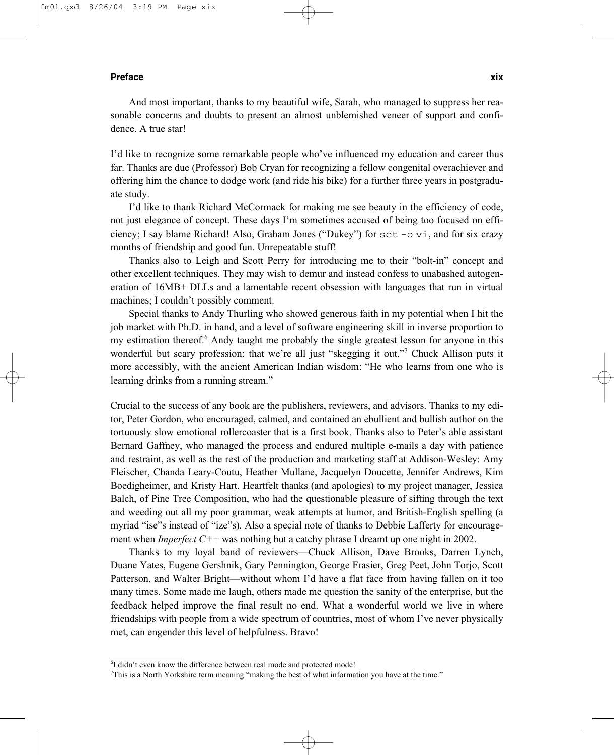#### **Preface xix**

And most important, thanks to my beautiful wife, Sarah, who managed to suppress her reasonable concerns and doubts to present an almost unblemished veneer of support and confidence. A true star!

I'd like to recognize some remarkable people who've influenced my education and career thus far. Thanks are due (Professor) Bob Cryan for recognizing a fellow congenital overachiever and offering him the chance to dodge work (and ride his bike) for a further three years in postgraduate study.

I'd like to thank Richard McCormack for making me see beauty in the efficiency of code, not just elegance of concept. These days I'm sometimes accused of being too focused on efficiency; I say blame Richard! Also, Graham Jones ("Dukey") for set -o vi, and for six crazy months of friendship and good fun. Unrepeatable stuff!

Thanks also to Leigh and Scott Perry for introducing me to their "bolt-in" concept and other excellent techniques. They may wish to demur and instead confess to unabashed autogeneration of 16MB+ DLLs and a lamentable recent obsession with languages that run in virtual machines; I couldn't possibly comment.

Special thanks to Andy Thurling who showed generous faith in my potential when I hit the job market with Ph.D. in hand, and a level of software engineering skill in inverse proportion to my estimation thereof.<sup>6</sup> Andy taught me probably the single greatest lesson for anyone in this wonderful but scary profession: that we're all just "skegging it out."<sup>7</sup> Chuck Allison puts it more accessibly, with the ancient American Indian wisdom: "He who learns from one who is learning drinks from a running stream."

Crucial to the success of any book are the publishers, reviewers, and advisors. Thanks to my editor, Peter Gordon, who encouraged, calmed, and contained an ebullient and bullish author on the tortuously slow emotional rollercoaster that is a first book. Thanks also to Peter's able assistant Bernard Gaffney, who managed the process and endured multiple e-mails a day with patience and restraint, as well as the rest of the production and marketing staff at Addison-Wesley: Amy Fleischer, Chanda Leary-Coutu, Heather Mullane, Jacquelyn Doucette, Jennifer Andrews, Kim Boedigheimer, and Kristy Hart. Heartfelt thanks (and apologies) to my project manager, Jessica Balch, of Pine Tree Composition, who had the questionable pleasure of sifting through the text and weeding out all my poor grammar, weak attempts at humor, and British-English spelling (a myriad "ise"s instead of "ize"s). Also a special note of thanks to Debbie Lafferty for encouragement when *Imperfect C++* was nothing but a catchy phrase I dreamt up one night in 2002.

Thanks to my loyal band of reviewers—Chuck Allison, Dave Brooks, Darren Lynch, Duane Yates, Eugene Gershnik, Gary Pennington, George Frasier, Greg Peet, John Torjo, Scott Patterson, and Walter Bright—without whom I'd have a flat face from having fallen on it too many times. Some made me laugh, others made me question the sanity of the enterprise, but the feedback helped improve the final result no end. What a wonderful world we live in where friendships with people from a wide spectrum of countries, most of whom I've never physically met, can engender this level of helpfulness. Bravo!

<sup>&</sup>lt;sup>6</sup>I didn't even know the difference between real mode and protected mode!

<sup>7</sup> This is a North Yorkshire term meaning "making the best of what information you have at the time."